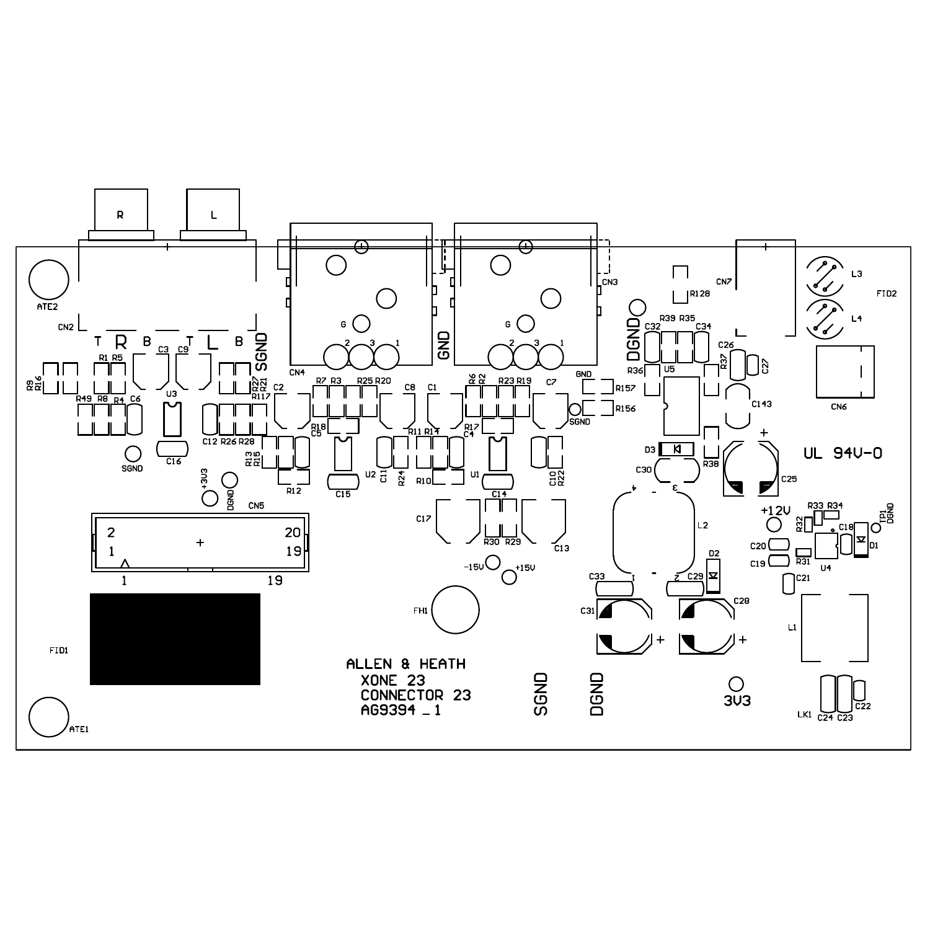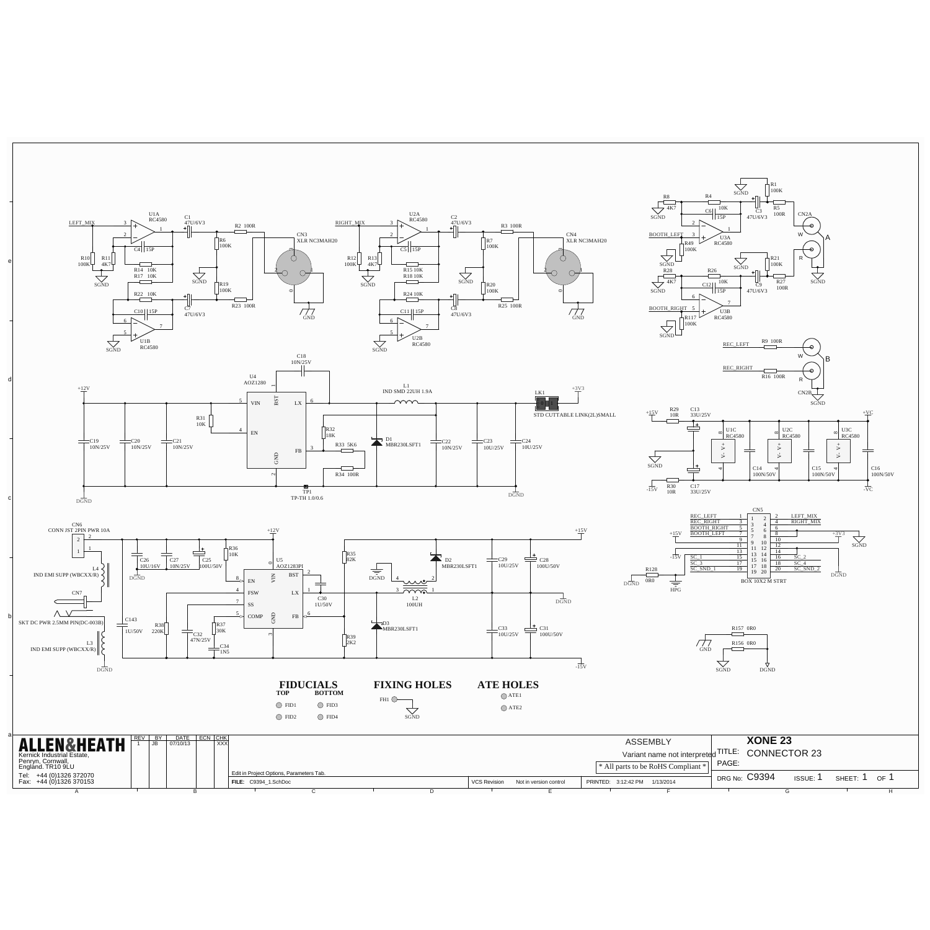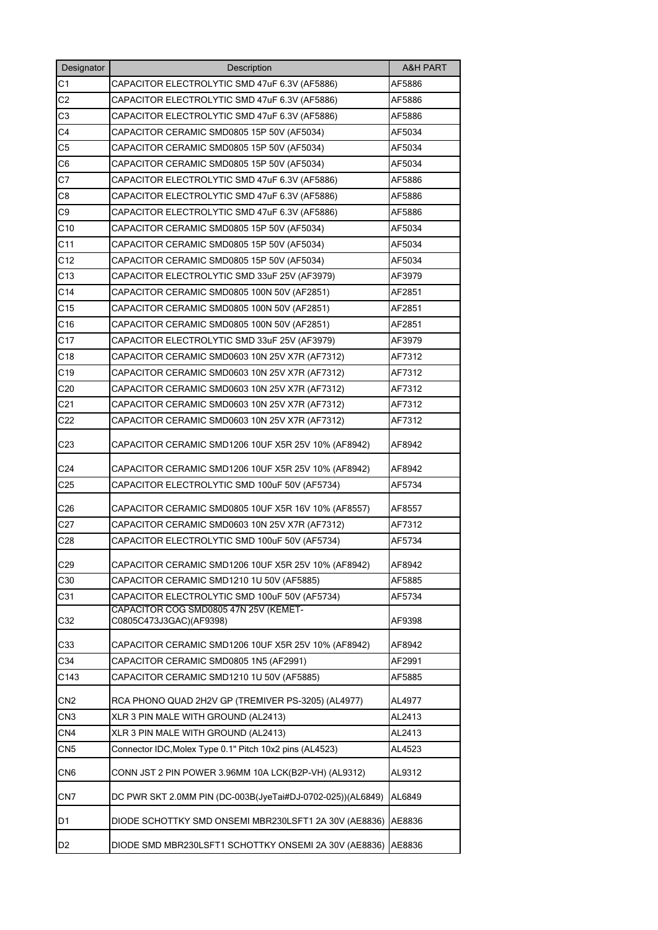| Designator      | Description                                                      | <b>A&amp;H PART</b> |
|-----------------|------------------------------------------------------------------|---------------------|
| C <sub>1</sub>  | CAPACITOR ELECTROLYTIC SMD 47uF 6.3V (AF5886)                    | AF5886              |
| C <sub>2</sub>  | CAPACITOR ELECTROLYTIC SMD 47uF 6.3V (AF5886)                    | AF5886              |
| C3              | CAPACITOR ELECTROLYTIC SMD 47uF 6.3V (AF5886)                    | AF5886              |
| C4              | CAPACITOR CERAMIC SMD0805 15P 50V (AF5034)                       | AF5034              |
| C <sub>5</sub>  | CAPACITOR CERAMIC SMD0805 15P 50V (AF5034)                       | AF5034              |
| C <sub>6</sub>  | CAPACITOR CERAMIC SMD0805 15P 50V (AF5034)                       | AF5034              |
| C7              | CAPACITOR ELECTROLYTIC SMD 47uF 6.3V (AF5886)                    | AF5886              |
| C8              | CAPACITOR ELECTROLYTIC SMD 47uF 6.3V (AF5886)                    | AF5886              |
| C <sub>9</sub>  | CAPACITOR ELECTROLYTIC SMD 47uF 6.3V (AF5886)                    | AF5886              |
| C10             | CAPACITOR CERAMIC SMD0805 15P 50V (AF5034)                       | AF5034              |
| C <sub>11</sub> | CAPACITOR CERAMIC SMD0805 15P 50V (AF5034)                       | AF5034              |
| C12             | CAPACITOR CERAMIC SMD0805 15P 50V (AF5034)                       | AF5034              |
| C13             | CAPACITOR ELECTROLYTIC SMD 33uF 25V (AF3979)                     | AF3979              |
| C <sub>14</sub> | CAPACITOR CERAMIC SMD0805 100N 50V (AF2851)                      | AF2851              |
| C <sub>15</sub> | CAPACITOR CERAMIC SMD0805 100N 50V (AF2851)                      | AF2851              |
| C <sub>16</sub> | CAPACITOR CERAMIC SMD0805 100N 50V (AF2851)                      | AF2851              |
| C <sub>17</sub> | CAPACITOR ELECTROLYTIC SMD 33uF 25V (AF3979)                     | AF3979              |
| C18             | CAPACITOR CERAMIC SMD0603 10N 25V X7R (AF7312)                   | AF7312              |
| C <sub>19</sub> | CAPACITOR CERAMIC SMD0603 10N 25V X7R (AF7312)                   | AF7312              |
| C <sub>20</sub> | CAPACITOR CERAMIC SMD0603 10N 25V X7R (AF7312)                   | AF7312              |
| C <sub>21</sub> | CAPACITOR CERAMIC SMD0603 10N 25V X7R (AF7312)                   | AF7312              |
| C <sub>22</sub> | CAPACITOR CERAMIC SMD0603 10N 25V X7R (AF7312)                   | AF7312              |
| C <sub>23</sub> | CAPACITOR CERAMIC SMD1206 10UF X5R 25V 10% (AF8942)              | AF8942              |
| C <sub>24</sub> | CAPACITOR CERAMIC SMD1206 10UF X5R 25V 10% (AF8942)              | AF8942              |
| C <sub>25</sub> | CAPACITOR ELECTROLYTIC SMD 100uF 50V (AF5734)                    | AF5734              |
| C <sub>26</sub> | CAPACITOR CERAMIC SMD0805 10UF X5R 16V 10% (AF8557)              | AF8557              |
| C27             | CAPACITOR CERAMIC SMD0603 10N 25V X7R (AF7312)                   | AF7312              |
| C <sub>28</sub> | CAPACITOR ELECTROLYTIC SMD 100uF 50V (AF5734)                    | AF5734              |
| C <sub>29</sub> | CAPACITOR CERAMIC SMD1206 10UF X5R 25V 10% (AF8942)              | AF8942              |
| C30             | CAPACITOR CERAMIC SMD1210 1U 50V (AF5885)                        | AF5885              |
| C31             | CAPACITOR ELECTROLYTIC SMD 100uF 50V (AF5734)                    | AF5734              |
| C32             | CAPACITOR COG SMD0805 47N 25V (KEMET-<br>C0805C473J3GAC)(AF9398) | AF9398              |
| C33             | CAPACITOR CERAMIC SMD1206 10UF X5R 25V 10% (AF8942)              | AF8942              |
| C34             | CAPACITOR CERAMIC SMD0805 1N5 (AF2991)                           | AF2991              |
| C143            | CAPACITOR CERAMIC SMD1210 1U 50V (AF5885)                        | AF5885              |
| CN <sub>2</sub> | RCA PHONO QUAD 2H2V GP (TREMIVER PS-3205) (AL4977)               | AL4977              |
| CN3             | XLR 3 PIN MALE WITH GROUND (AL2413)                              | AL2413              |
| CN <sub>4</sub> | XLR 3 PIN MALE WITH GROUND (AL2413)                              | AL2413              |
| CN <sub>5</sub> | Connector IDC, Molex Type 0.1" Pitch 10x2 pins (AL4523)          | AL4523              |
| CN <sub>6</sub> | CONN JST 2 PIN POWER 3.96MM 10A LCK(B2P-VH) (AL9312)             | AL9312              |
| CN <sub>7</sub> | DC PWR SKT 2.0MM PIN (DC-003B(JyeTai#DJ-0702-025))(AL6849)       | AL6849              |
| D1              | DIODE SCHOTTKY SMD ONSEMI MBR230LSFT1 2A 30V (AE8836)            | AE8836              |
| D2              | DIODE SMD MBR230LSFT1 SCHOTTKY ONSEMI 2A 30V (AE8836)            | AE8836              |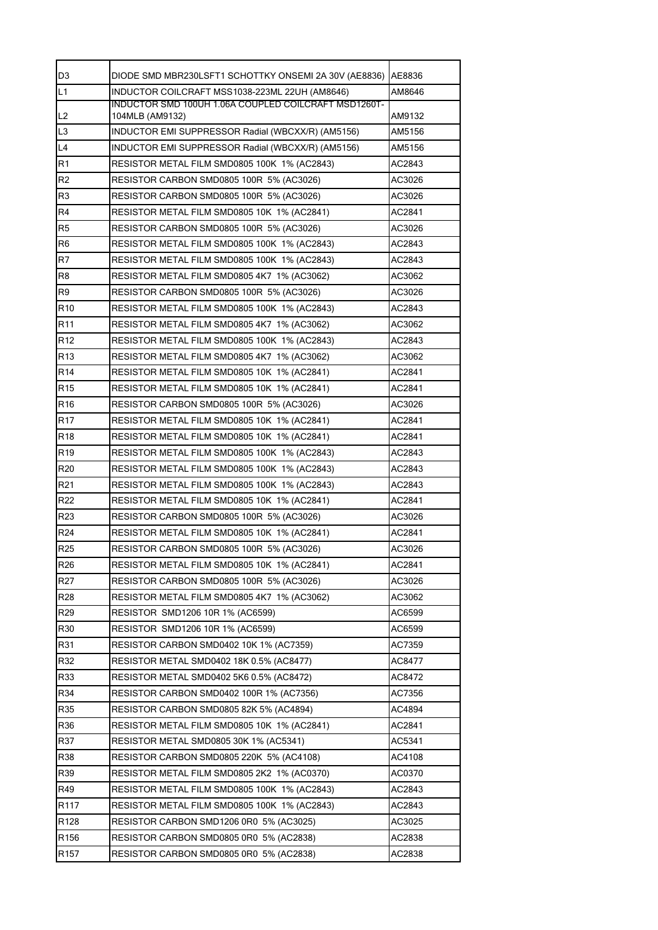| D <sub>3</sub>   | DIODE SMD MBR230LSFT1 SCHOTTKY ONSEMI 2A 30V (AE8836)  AE8836           |        |
|------------------|-------------------------------------------------------------------------|--------|
| L1               | INDUCTOR COILCRAFT MSS1038-223ML 22UH (AM8646)                          | AM8646 |
| IL <sub>2</sub>  | INDUCTOR SMD 100UH 1.06A COUPLED COILCRAFT MSD1260T-<br>104MLB (AM9132) | AM9132 |
| L <sub>3</sub>   | INDUCTOR EMI SUPPRESSOR Radial (WBCXX/R) (AM5156)                       | AM5156 |
| L4               | INDUCTOR EMI SUPPRESSOR Radial (WBCXX/R) (AM5156)                       | AM5156 |
| R1               | RESISTOR METAL FILM SMD0805 100K 1% (AC2843)                            | AC2843 |
| R <sub>2</sub>   | RESISTOR CARBON SMD0805 100R 5% (AC3026)                                | AC3026 |
| R3               | RESISTOR CARBON SMD0805 100R 5% (AC3026)                                | AC3026 |
| R4               | RESISTOR METAL FILM SMD0805 10K 1% (AC2841)                             | AC2841 |
| R <sub>5</sub>   | RESISTOR CARBON SMD0805 100R 5% (AC3026)                                | AC3026 |
| R <sub>6</sub>   | RESISTOR METAL FILM SMD0805 100K 1% (AC2843)                            | AC2843 |
| R7               | RESISTOR METAL FILM SMD0805 100K 1% (AC2843)                            | AC2843 |
| R8               | RESISTOR METAL FILM SMD0805 4K7 1% (AC3062)                             | AC3062 |
| R9               | RESISTOR CARBON SMD0805 100R 5% (AC3026)                                | AC3026 |
| R <sub>10</sub>  | RESISTOR METAL FILM SMD0805 100K 1% (AC2843)                            | AC2843 |
| R <sub>11</sub>  | RESISTOR METAL FILM SMD0805 4K7 1% (AC3062)                             | AC3062 |
| R <sub>12</sub>  | RESISTOR METAL FILM SMD0805 100K 1% (AC2843)                            | AC2843 |
| R <sub>13</sub>  | RESISTOR METAL FILM SMD0805 4K7 1% (AC3062)                             | AC3062 |
| R <sub>14</sub>  | RESISTOR METAL FILM SMD0805 10K 1% (AC2841)                             | AC2841 |
| R <sub>15</sub>  | RESISTOR METAL FILM SMD0805 10K 1% (AC2841)                             | AC2841 |
| R <sub>16</sub>  | RESISTOR CARBON SMD0805 100R 5% (AC3026)                                | AC3026 |
| R <sub>17</sub>  | RESISTOR METAL FILM SMD0805 10K 1% (AC2841)                             | AC2841 |
| R <sub>18</sub>  | RESISTOR METAL FILM SMD0805 10K 1% (AC2841)                             | AC2841 |
| R <sub>19</sub>  | RESISTOR METAL FILM SMD0805 100K 1% (AC2843)                            | AC2843 |
| R <sub>20</sub>  | RESISTOR METAL FILM SMD0805 100K 1% (AC2843)                            | AC2843 |
| R <sub>21</sub>  | RESISTOR METAL FILM SMD0805 100K 1% (AC2843)                            | AC2843 |
| R <sub>22</sub>  | RESISTOR METAL FILM SMD0805 10K 1% (AC2841)                             | AC2841 |
| R <sub>23</sub>  | RESISTOR CARBON SMD0805 100R 5% (AC3026)                                | AC3026 |
| R <sub>24</sub>  | RESISTOR METAL FILM SMD0805 10K 1% (AC2841)                             | AC2841 |
| <b>R25</b>       | RESISTOR CARBON SMD0805 100R 5% (AC3026)                                | AC3026 |
| R <sub>26</sub>  | RESISTOR METAL FILM SMD0805 10K 1% (AC2841)                             | AC2841 |
| R <sub>27</sub>  | RESISTOR CARBON SMD0805 100R 5% (AC3026)                                | AC3026 |
| R <sub>28</sub>  | RESISTOR METAL FILM SMD0805 4K7 1% (AC3062)                             | AC3062 |
| R <sub>29</sub>  | RESISTOR SMD1206 10R 1% (AC6599)                                        | AC6599 |
| R30              | RESISTOR SMD1206 10R 1% (AC6599)                                        | AC6599 |
| R31              | RESISTOR CARBON SMD0402 10K 1% (AC7359)                                 | AC7359 |
| R32              | RESISTOR METAL SMD0402 18K 0.5% (AC8477)                                | AC8477 |
| R33              | RESISTOR METAL SMD0402 5K6 0.5% (AC8472)                                | AC8472 |
| R34              | RESISTOR CARBON SMD0402 100R 1% (AC7356)                                | AC7356 |
| R35              | RESISTOR CARBON SMD0805 82K 5% (AC4894)                                 | AC4894 |
| R36              | RESISTOR METAL FILM SMD0805 10K 1% (AC2841)                             | AC2841 |
| R37              | RESISTOR METAL SMD0805 30K 1% (AC5341)                                  | AC5341 |
| R38              | RESISTOR CARBON SMD0805 220K 5% (AC4108)                                | AC4108 |
| R39              | RESISTOR METAL FILM SMD0805 2K2 1% (AC0370)                             | AC0370 |
| R49              | RESISTOR METAL FILM SMD0805 100K 1% (AC2843)                            | AC2843 |
| R <sub>117</sub> | RESISTOR METAL FILM SMD0805 100K 1% (AC2843)                            | AC2843 |
| R128             | RESISTOR CARBON SMD1206 0R0 5% (AC3025)                                 | AC3025 |
| R <sub>156</sub> | RESISTOR CARBON SMD0805 0R0 5% (AC2838)                                 | AC2838 |
| R <sub>157</sub> | RESISTOR CARBON SMD0805 0R0 5% (AC2838)                                 | AC2838 |
|                  |                                                                         |        |